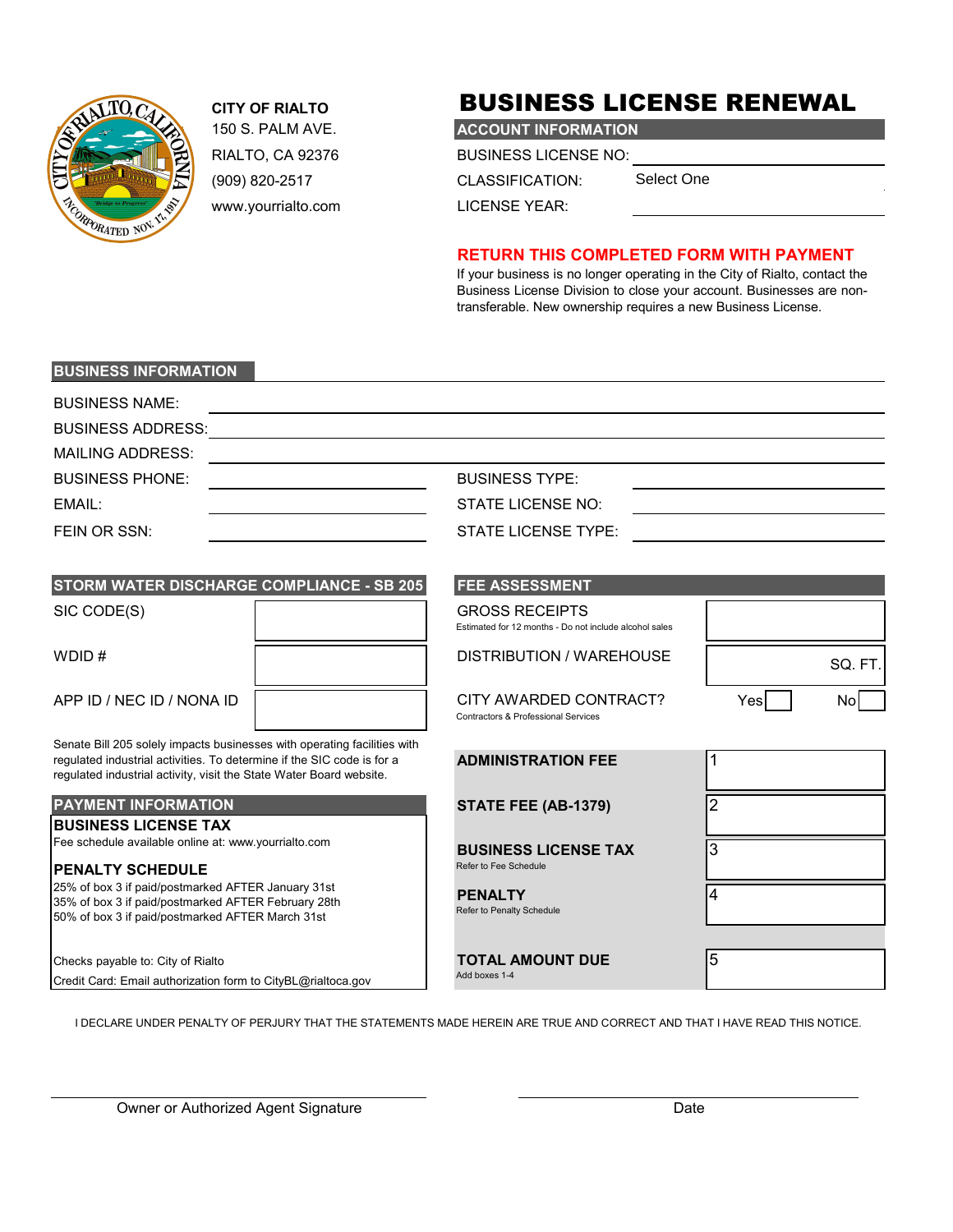

### **CITY OF RIALTO**

RIALTO, CA 92376 (909) 820-2517 www.yourrialto.com

## BUSINESS LICENSE RENEWAL

150 S. PALM AVE. **ACCOUNT INFORMATION**

BUSINESS LICENSE NO:

CLASSIFICATION:

Select One

LICENSE YEAR:

#### **RETURN THIS COMPLETED FORM WITH PAYMENT**

If your business is no longer operating in the City of Rialto, contact the Business License Division to close your account. Businesses are nontransferable. New ownership requires a new Business License.

#### **BUSINESS INFORMATION**

| <b>BUSINESS NAME:</b>    |                       |  |
|--------------------------|-----------------------|--|
| <b>BUSINESS ADDRESS:</b> |                       |  |
| <b>MAILING ADDRESS:</b>  |                       |  |
| <b>BUSINESS PHONE:</b>   | <b>BUSINESS TYPE:</b> |  |
| EMAIL:                   | STATE LICENSE NO:     |  |
| FEIN OR SSN:             | STATE LICENSE TYPE:   |  |

| <b>STORM WATER DISCHARGE COMPLIANCE - SB 205</b>                         | <b>FEE ASSESSMENT</b> |                                                                                 |  |  |
|--------------------------------------------------------------------------|-----------------------|---------------------------------------------------------------------------------|--|--|
| SIC CODE(S)                                                              |                       | <b>GROSS RECEIPTS</b><br>Estimated for 12 months - Do not include alcohol sales |  |  |
| WDID $#$                                                                 |                       | DISTRIBUTION / WAREHOUSE                                                        |  |  |
| APP ID / NEC ID / NONA ID                                                |                       | CITY AWARDED CONTRACT?<br>Contractors & Professional Services                   |  |  |
| Senate Bill 205 solely impacts businesses with operating facilities with |                       |                                                                                 |  |  |

regulated industrial activities. To determine if the SIC code is for a regulated industrial activity, visit the State Water Board website.

#### **PAYMENT INFORMATION STATE FEE (ABS)**

| <b>BUSINESS LICENSE TAX</b> |  |  |  |  |  |  |  |
|-----------------------------|--|--|--|--|--|--|--|
|                             |  |  |  |  |  |  |  |

#### Fee schedule available online at: www.yourrialto.com

#### **PENALTY SCHEDULE** Refer to Fee Schedule

25% of box 3 if paid/postmarked AFTER January 31st 35% of box 3 if paid/postmarked AFTER February 28th 50% of box 3 if paid/postmarked AFTER March 31st

Checks payable to: City of Rialto **TOTAL AMOUNT DUE** Credit Card: Email authorization form to CityBL@rialtoca.gov Add boxes 1-4

| <b>STORM WATER DISCHARGE COMPLIANCE - SB 205</b>                         | <b>FEE ASSESSMENT</b>                                                           |      |         |  |  |  |
|--------------------------------------------------------------------------|---------------------------------------------------------------------------------|------|---------|--|--|--|
| SIC CODE(S)                                                              | <b>GROSS RECEIPTS</b><br>Estimated for 12 months - Do not include alcohol sales |      |         |  |  |  |
| WDID #                                                                   | DISTRIBUTION / WAREHOUSE                                                        |      | SQ. FT. |  |  |  |
| APP ID / NEC ID / NONA ID                                                | CITY AWARDED CONTRACT?<br><b>Contractors &amp; Professional Services</b>        | Yesl |         |  |  |  |
| Senate Bill 205 solely impacts businesses with operating facilities with |                                                                                 |      |         |  |  |  |

| <b>ADMINISTRATION FEE</b>                            | 1              |
|------------------------------------------------------|----------------|
| STATE FEE (AB-1379)                                  | $\overline{2}$ |
| <b>BUSINESS LICENSE TAX</b><br>Refer to Fee Schedule | 3              |
| <b>PENALTY</b><br>Refer to Penalty Schedule          | 4              |

I DECLARE UNDER PENALTY OF PERJURY THAT THE STATEMENTS MADE HEREIN ARE TRUE AND CORRECT AND THAT I HAVE READ THIS NOTICE.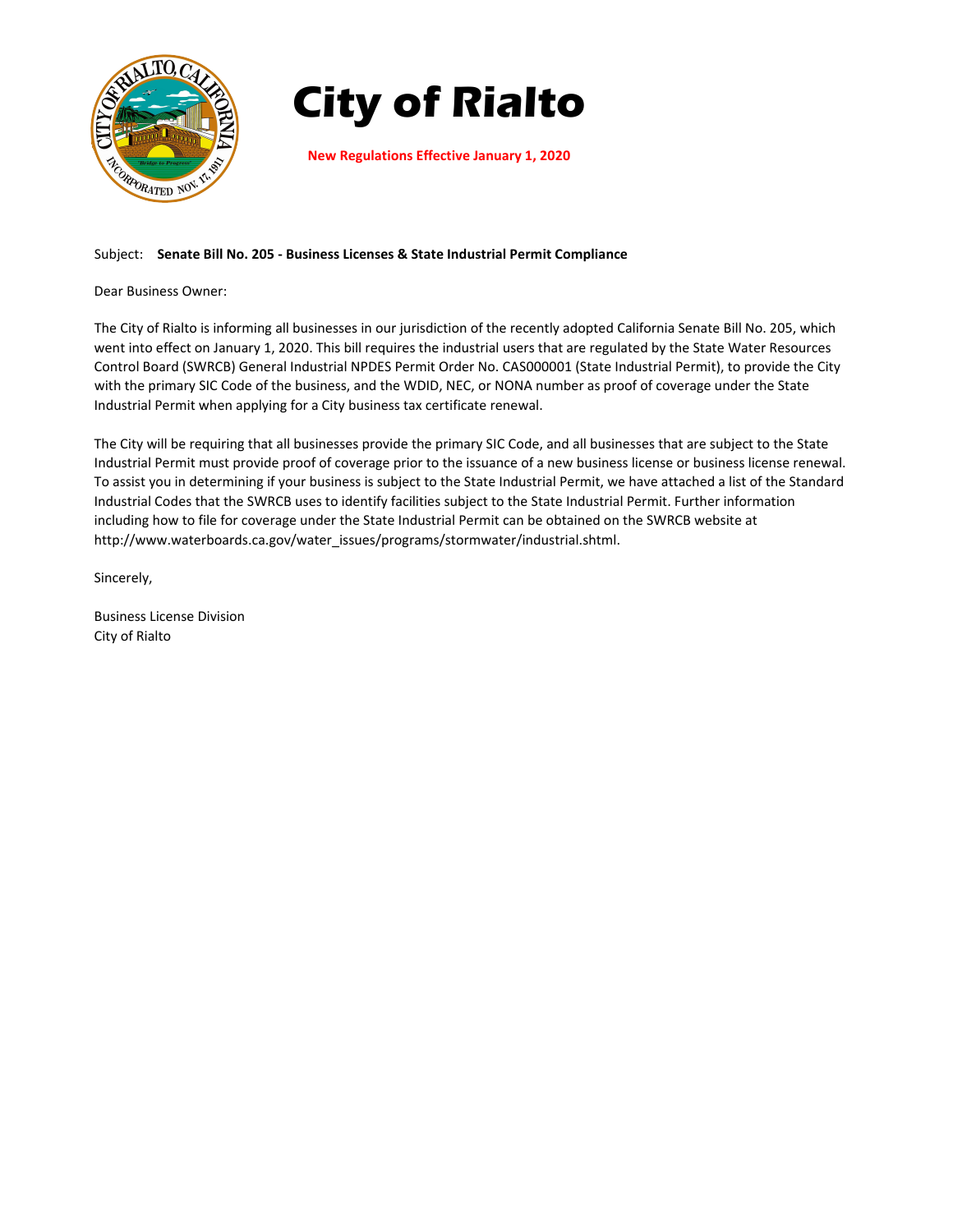

# **City of Rialto**

**New Regulations Effective January 1, 2020**

#### Subject: **Senate Bill No. 205 ‐ Business Licenses & State Industrial Permit Compliance**

Dear Business Owner:

The City of Rialto is informing all businesses in our jurisdiction of the recently adopted California Senate Bill No. 205, which went into effect on January 1, 2020. This bill requires the industrial users that are regulated by the State Water Resources Control Board (SWRCB) General Industrial NPDES Permit Order No. CAS000001 (State Industrial Permit), to provide the City with the primary SIC Code of the business, and the WDID, NEC, or NONA number as proof of coverage under the State Industrial Permit when applying for a City business tax certificate renewal.

The City will be requiring that all businesses provide the primary SIC Code, and all businesses that are subject to the State Industrial Permit must provide proof of coverage prior to the issuance of a new business license or business license renewal. To assist you in determining if your business is subject to the State Industrial Permit, we have attached a list of the Standard Industrial Codes that the SWRCB uses to identify facilities subject to the State Industrial Permit. Further information including how to file for coverage under the State Industrial Permit can be obtained on the SWRCB website at http://www.waterboards.ca.gov/water\_issues/programs/stormwater/industrial.shtml.

Sincerely,

Business License Division City of Rialto